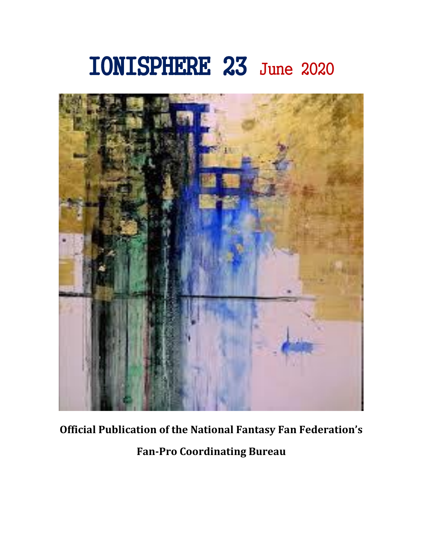# IONISPHERE 23 June 2020



# **Official Publication of the National Fantasy Fan Federation's**

**Fan-Pro Coordinating Bureau**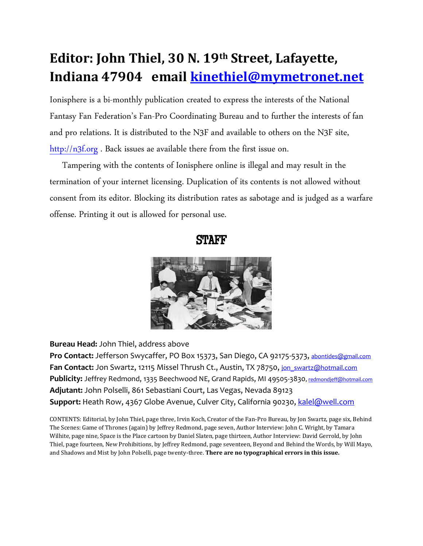# **Editor: John Thiel, 30 N. 19th Street, Lafayette, Indiana 47904 email [kinethiel@mymetronet.net](mailto:kinethiel@mymetronet.net)**

Ionisphere is a bi-monthly publication created to express the interests of the National Fantasy Fan Federation's Fan-Pro Coordinating Bureau and to further the interests of fan and pro relations. It is distributed to the N3F and available to others on the N3F site, [http://n3f.org](http://n3f.org/) . Back issues ae available there from the first issue on.

 Tampering with the contents of Ionisphere online is illegal and may result in the termination of your internet licensing. Duplication of its contents is not allowed without consent from its editor. Blocking its distribution rates as sabotage and is judged as a warfare offense. Printing it out is allowed for personal use.





**Bureau Head:** John Thiel, address above

Pro Contact: Jefferson Swycaffer, PO Box 15373, San Diego, CA 92175-5373, [abontides@gmail.com](mailto:abontides@gmail.com) Fan Contact: Jon Swartz, 12115 Missel Thrush Ct., Austin, TX 78750, jon swartz@hotmail.com Publicity: Jeffrey Redmond, 1335 Beechwood NE, Grand Rapids, MI 49505-3830, [redmondjeff@hotmail.com](mailto:redmondjeff@hotmail.com) **Adjutant:** John Polselli, 861 Sebastiani Court, Las Vegas, Nevada 89123 **Support:** Heath Row, 4367 Globe Avenue, Culver City, California 90230, [kalel@well.com](mailto:kalel@well.com)

CONTENTS: Editorial, by John Thiel, page three, Irvin Koch, Creator of the Fan-Pro Bureau, by Jon Swartz, page six, Behind The Scenes: Game of Thrones (again) by Jeffrey Redmond, page seven, Author Interview: John C. Wright, by Tamara Wilhite, page nine, Space is the Place cartoon by Daniel Slaten, page thirteen, Author Interview: David Gerrold, by John Thiel, page fourteen, New Prohibitions, by Jeffrey Redmond, page seventeen, Beyond and Behind the Words, by Will Mayo, and Shadows and Mist by John Polselli, page twenty-three. **There are no typographical errors in this issue.**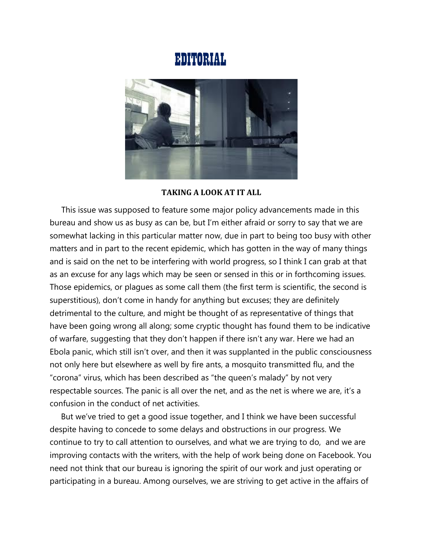# EDITORIAL



#### **TAKING A LOOK AT IT ALL**

This issue was supposed to feature some major policy advancements made in this bureau and show us as busy as can be, but I'm either afraid or sorry to say that we are somewhat lacking in this particular matter now, due in part to being too busy with other matters and in part to the recent epidemic, which has gotten in the way of many things and is said on the net to be interfering with world progress, so I think I can grab at that as an excuse for any lags which may be seen or sensed in this or in forthcoming issues. Those epidemics, or plagues as some call them (the first term is scientific, the second is superstitious), don't come in handy for anything but excuses; they are definitely detrimental to the culture, and might be thought of as representative of things that have been going wrong all along; some cryptic thought has found them to be indicative of warfare, suggesting that they don't happen if there isn't any war. Here we had an Ebola panic, which still isn't over, and then it was supplanted in the public consciousness not only here but elsewhere as well by fire ants, a mosquito transmitted flu, and the "corona" virus, which has been described as "the queen's malady" by not very respectable sources. The panic is all over the net, and as the net is where we are, it's a confusion in the conduct of net activities.

 But we've tried to get a good issue together, and I think we have been successful despite having to concede to some delays and obstructions in our progress. We continue to try to call attention to ourselves, and what we are trying to do, and we are improving contacts with the writers, with the help of work being done on Facebook. You need not think that our bureau is ignoring the spirit of our work and just operating or participating in a bureau. Among ourselves, we are striving to get active in the affairs of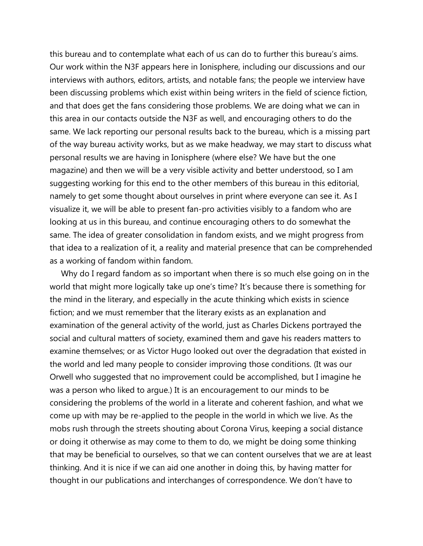this bureau and to contemplate what each of us can do to further this bureau's aims. Our work within the N3F appears here in Ionisphere, including our discussions and our interviews with authors, editors, artists, and notable fans; the people we interview have been discussing problems which exist within being writers in the field of science fiction, and that does get the fans considering those problems. We are doing what we can in this area in our contacts outside the N3F as well, and encouraging others to do the same. We lack reporting our personal results back to the bureau, which is a missing part of the way bureau activity works, but as we make headway, we may start to discuss what personal results we are having in Ionisphere (where else? We have but the one magazine) and then we will be a very visible activity and better understood, so I am suggesting working for this end to the other members of this bureau in this editorial, namely to get some thought about ourselves in print where everyone can see it. As I visualize it, we will be able to present fan-pro activities visibly to a fandom who are looking at us in this bureau, and continue encouraging others to do somewhat the same. The idea of greater consolidation in fandom exists, and we might progress from that idea to a realization of it, a reality and material presence that can be comprehended as a working of fandom within fandom.

 Why do I regard fandom as so important when there is so much else going on in the world that might more logically take up one's time? It's because there is something for the mind in the literary, and especially in the acute thinking which exists in science fiction; and we must remember that the literary exists as an explanation and examination of the general activity of the world, just as Charles Dickens portrayed the social and cultural matters of society, examined them and gave his readers matters to examine themselves; or as Victor Hugo looked out over the degradation that existed in the world and led many people to consider improving those conditions. (It was our Orwell who suggested that no improvement could be accomplished, but I imagine he was a person who liked to argue.) It is an encouragement to our minds to be considering the problems of the world in a literate and coherent fashion, and what we come up with may be re-applied to the people in the world in which we live. As the mobs rush through the streets shouting about Corona Virus, keeping a social distance or doing it otherwise as may come to them to do, we might be doing some thinking that may be beneficial to ourselves, so that we can content ourselves that we are at least thinking. And it is nice if we can aid one another in doing this, by having matter for thought in our publications and interchanges of correspondence. We don't have to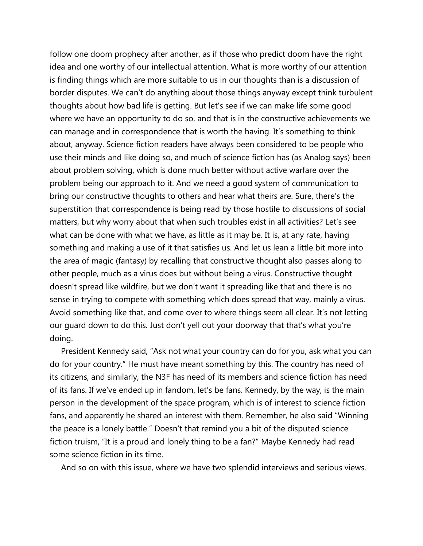follow one doom prophecy after another, as if those who predict doom have the right idea and one worthy of our intellectual attention. What is more worthy of our attention is finding things which are more suitable to us in our thoughts than is a discussion of border disputes. We can't do anything about those things anyway except think turbulent thoughts about how bad life is getting. But let's see if we can make life some good where we have an opportunity to do so, and that is in the constructive achievements we can manage and in correspondence that is worth the having. It's something to think about, anyway. Science fiction readers have always been considered to be people who use their minds and like doing so, and much of science fiction has (as Analog says) been about problem solving, which is done much better without active warfare over the problem being our approach to it. And we need a good system of communication to bring our constructive thoughts to others and hear what theirs are. Sure, there's the superstition that correspondence is being read by those hostile to discussions of social matters, but why worry about that when such troubles exist in all activities? Let's see what can be done with what we have, as little as it may be. It is, at any rate, having something and making a use of it that satisfies us. And let us lean a little bit more into the area of magic (fantasy) by recalling that constructive thought also passes along to other people, much as a virus does but without being a virus. Constructive thought doesn't spread like wildfire, but we don't want it spreading like that and there is no sense in trying to compete with something which does spread that way, mainly a virus. Avoid something like that, and come over to where things seem all clear. It's not letting our guard down to do this. Just don't yell out your doorway that that's what you're doing.

 President Kennedy said, "Ask not what your country can do for you, ask what you can do for your country." He must have meant something by this. The country has need of its citizens, and similarly, the N3F has need of its members and science fiction has need of its fans. If we've ended up in fandom, let's be fans. Kennedy, by the way, is the main person in the development of the space program, which is of interest to science fiction fans, and apparently he shared an interest with them. Remember, he also said "Winning the peace is a lonely battle." Doesn't that remind you a bit of the disputed science fiction truism, "It is a proud and lonely thing to be a fan?" Maybe Kennedy had read some science fiction in its time.

And so on with this issue, where we have two splendid interviews and serious views.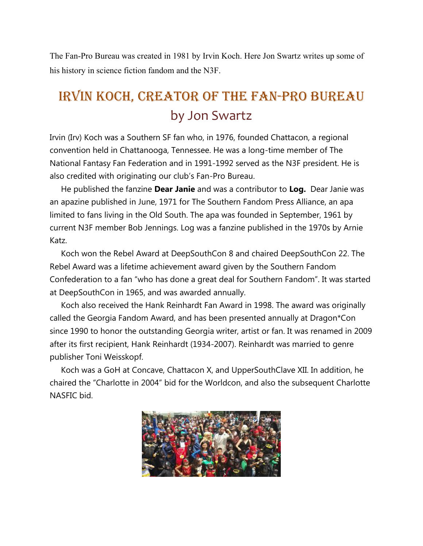The Fan-Pro Bureau was created in 1981 by Irvin Koch. Here Jon Swartz writes up some of his history in science fiction fandom and the N3F.

# Irvin Koch, creator of the Fan-Pro Bureau by Jon Swartz

Irvin (Irv) Koch was a Southern SF fan who, in 1976, founded Chattacon, a regional convention held in Chattanooga, Tennessee. He was a long-time member of The National Fantasy Fan Federation and in 1991-1992 served as the N3F president. He is also credited with originating our club's Fan-Pro Bureau.

 He published the fanzine **Dear Janie** and was a contributor to **Log.** Dear Janie was an apazine published in June, 1971 for The Southern Fandom Press Alliance, an apa limited to fans living in the Old South. The apa was founded in September, 1961 by current N3F member Bob Jennings. Log was a fanzine published in the 1970s by Arnie Katz.

 Koch won the Rebel Award at DeepSouthCon 8 and chaired DeepSouthCon 22. The Rebel Award was a lifetime achievement award given by the Southern Fandom Confederation to a fan "who has done a great deal for Southern Fandom". It was started at DeepSouthCon in 1965, and was awarded annually.

 Koch also received the Hank Reinhardt Fan Award in 1998. The award was originally called the Georgia Fandom Award, and has been presented annually at Dragon\*Con since 1990 to honor the outstanding Georgia writer, artist or fan. It was renamed in 2009 after its first recipient, Hank Reinhardt (1934-2007). Reinhardt was married to genre publisher Toni Weisskopf.

 Koch was a GoH at Concave, Chattacon X, and UpperSouthClave XII. In addition, he chaired the "Charlotte in 2004" bid for the Worldcon, and also the subsequent Charlotte NASFIC bid.

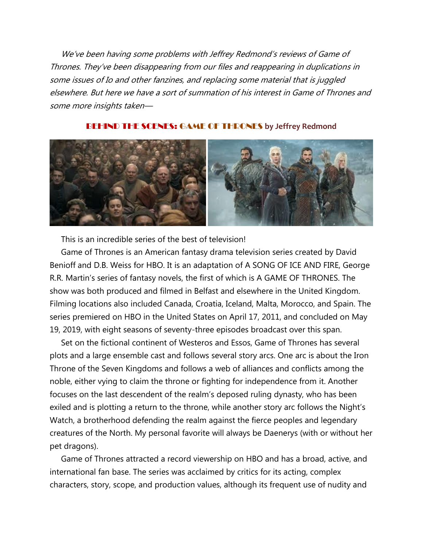<sup>W</sup>e've been having some problems with Jeffrey Redmond's reviews of Game of Thrones. They've been disappearing from our files and reappearing in duplications in some issues of Io and other fanzines, and replacing some material that is juggled elsewhere. But here we have a sort of summation of his interest in Game of Thrones and some more insights taken—



#### BEHIND THE SCENES: GAME OF THRONES **by Jeffrey Redmond**

This is an incredible series of the best of television!

 Game of Thrones is an American fantasy drama television series created by David Benioff and D.B. Weiss for HBO. It is an adaptation of A SONG OF ICE AND FIRE, George R.R. Martin's series of fantasy novels, the first of which is A GAME OF THRONES. The show was both produced and filmed in Belfast and elsewhere in the United Kingdom. Filming locations also included Canada, Croatia, Iceland, Malta, Morocco, and Spain. The series premiered on HBO in the United States on April 17, 2011, and concluded on May 19, 2019, with eight seasons of seventy-three episodes broadcast over this span.

 Set on the fictional continent of Westeros and Essos, Game of Thrones has several plots and a large ensemble cast and follows several story arcs. One arc is about the Iron Throne of the Seven Kingdoms and follows a web of alliances and conflicts among the noble, either vying to claim the throne or fighting for independence from it. Another focuses on the last descendent of the realm's deposed ruling dynasty, who has been exiled and is plotting a return to the throne, while another story arc follows the Night's Watch, a brotherhood defending the realm against the fierce peoples and legendary creatures of the North. My personal favorite will always be Daenerys (with or without her pet dragons).

 Game of Thrones attracted a record viewership on HBO and has a broad, active, and international fan base. The series was acclaimed by critics for its acting, complex characters, story, scope, and production values, although its frequent use of nudity and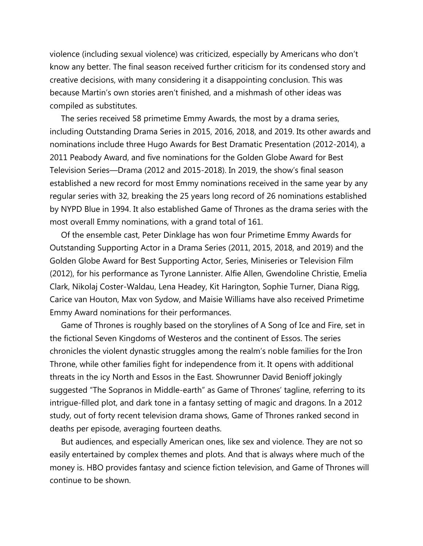violence (including sexual violence) was criticized, especially by Americans who don't know any better. The final season received further criticism for its condensed story and creative decisions, with many considering it a disappointing conclusion. This was because Martin's own stories aren't finished, and a mishmash of other ideas was compiled as substitutes.

 The series received 58 primetime Emmy Awards, the most by a drama series, including Outstanding Drama Series in 2015, 2016, 2018, and 2019. Its other awards and nominations include three Hugo Awards for Best Dramatic Presentation (2012-2014), a 2011 Peabody Award, and five nominations for the Golden Globe Award for Best Television Series—Drama (2012 and 2015-2018). In 2019, the show's final season established a new record for most Emmy nominations received in the same year by any regular series with 32, breaking the 25 years long record of 26 nominations established by NYPD Blue in 1994. It also established Game of Thrones as the drama series with the most overall Emmy nominations, with a grand total of 161.

 Of the ensemble cast, Peter Dinklage has won four Primetime Emmy Awards for Outstanding Supporting Actor in a Drama Series (2011, 2015, 2018, and 2019) and the Golden Globe Award for Best Supporting Actor, Series, Miniseries or Television Film (2012), for his performance as Tyrone Lannister. Alfie Allen, Gwendoline Christie, Emelia Clark, Nikolaj Coster-Waldau, Lena Headey, Kit Harington, Sophie Turner, Diana Rigg, Carice van Houton, Max von Sydow, and Maisie Williams have also received Primetime Emmy Award nominations for their performances.

 Game of Thrones is roughly based on the storylines of A Song of Ice and Fire, set in the fictional Seven Kingdoms of Westeros and the continent of Essos. The series chronicles the violent dynastic struggles among the realm's noble families for the Iron Throne, while other families fight for independence from it. It opens with additional threats in the icy North and Essos in the East. Showrunner David Benioff jokingly suggested "The Sopranos in Middle-earth" as Game of Thrones' tagline, referring to its intrigue-filled plot, and dark tone in a fantasy setting of magic and dragons. In a 2012 study, out of forty recent television drama shows, Game of Thrones ranked second in deaths per episode, averaging fourteen deaths.

 But audiences, and especially American ones, like sex and violence. They are not so easily entertained by complex themes and plots. And that is always where much of the money is. HBO provides fantasy and science fiction television, and Game of Thrones will continue to be shown.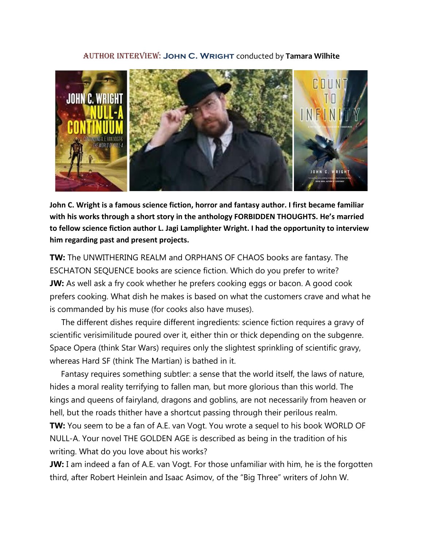#### Author interview: **John C. Wright** conducted by **Tamara Wilhite**



**John C. Wright is a famous science fiction, horror and fantasy author. I first became familiar with his works through a short story in the anthology FORBIDDEN THOUGHTS. He's married to fellow science fiction author L. Jagi Lamplighter Wright. I had the opportunity to interview him regarding past and present projects.**

**TW:** The UNWITHERING REALM and ORPHANS OF CHAOS books are fantasy. The ESCHATON SEQUENCE books are science fiction. Which do you prefer to write? **JW:** As well ask a fry cook whether he prefers cooking eggs or bacon. A good cook prefers cooking. What dish he makes is based on what the customers crave and what he is commanded by his muse (for cooks also have muses).

The different dishes require different ingredients: science fiction requires a gravy of scientific verisimilitude poured over it, either thin or thick depending on the subgenre. Space Opera (think Star Wars) requires only the slightest sprinkling of scientific gravy, whereas Hard SF (think The Martian) is bathed in it.

 Fantasy requires something subtler: a sense that the world itself, the laws of nature, hides a moral reality terrifying to fallen man, but more glorious than this world. The kings and queens of fairyland, dragons and goblins, are not necessarily from heaven or hell, but the roads thither have a shortcut passing through their perilous realm.

**TW:** You seem to be a fan of A.E. van Vogt. You wrote a sequel to his book WORLD OF NULL-A. Your novel THE GOLDEN AGE is described as being in the tradition of his writing. What do you love about his works?

**JW:** I am indeed a fan of A.E. van Vogt. For those unfamiliar with him, he is the forgotten third, after Robert Heinlein and Isaac Asimov, of the "Big Three" writers of John W.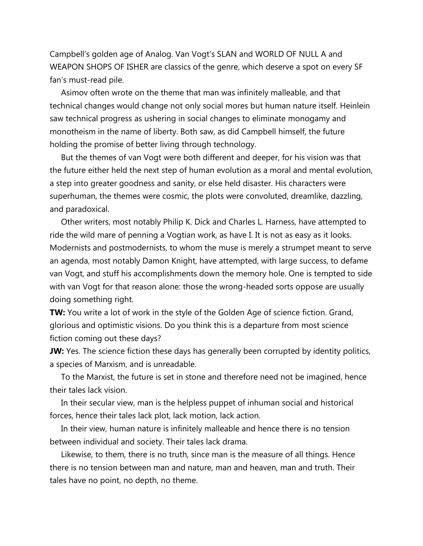Campbell's golden age of Analog. Van Vogt's SLAN and WORLD OF NULL A and WEAPON SHOPS OF ISHER are classics of the genre, which deserve a spot on every SF fan's must-read pile.

 Asimov often wrote on the theme that man was infinitely malleable, and that technical changes would change not only social mores but human nature itself. Heinlein saw technical progress as ushering in social changes to eliminate monogamy and monotheism in the name of liberty. Both saw, as did Campbell himself, the future holding the promise of better living through technology.

 But the themes of van Vogt were both different and deeper, for his vision was that the future either held the next step of human evolution as a moral and mental evolution, a step into greater goodness and sanity, or else held disaster. His characters were superhuman, the themes were cosmic, the plots were convoluted, dreamlike, dazzling, and paradoxical.

 Other writers, most notably Philip K. Dick and Charles L. Harness, have attempted to ride the wild mare of penning a Vogtian work, as have I. It is not as easy as it looks. Modernists and postmodernists, to whom the muse is merely a strumpet meant to serve an agenda, most notably Damon Knight, have attempted, with large success, to defame van Vogt, and stuff his accomplishments down the memory hole. One is tempted to side with van Vogt for that reason alone: those the wrong-headed sorts oppose are usually doing something right.

**TW:** You write a lot of work in the style of the Golden Age of science fiction. Grand, glorious and optimistic visions. Do you think this is a departure from most science fiction coming out these days?

**JW:** Yes. The science fiction these days has generally been corrupted by identity politics, a species of Marxism, and is unreadable.

 To the Marxist, the future is set in stone and therefore need not be imagined, hence their tales lack vision.

 In their secular view, man is the helpless puppet of inhuman social and historical forces, hence their tales lack plot, lack motion, lack action.

 In their view, human nature is infinitely malleable and hence there is no tension between individual and society. Their tales lack drama.

 Likewise, to them, there is no truth, since man is the measure of all things. Hence there is no tension between man and nature, man and heaven, man and truth. Their tales have no point, no depth, no theme.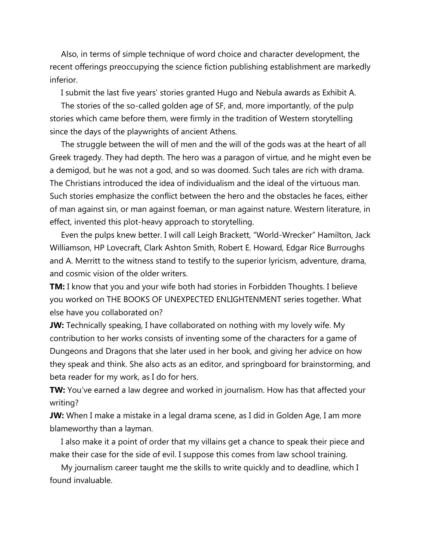Also, in terms of simple technique of word choice and character development, the recent offerings preoccupying the science fiction publishing establishment are markedly inferior.

I submit the last five years' stories granted Hugo and Nebula awards as Exhibit A.

 The stories of the so-called golden age of SF, and, more importantly, of the pulp stories which came before them, were firmly in the tradition of Western storytelling since the days of the playwrights of ancient Athens.

 The struggle between the will of men and the will of the gods was at the heart of all Greek tragedy. They had depth. The hero was a paragon of virtue, and he might even be a demigod, but he was not a god, and so was doomed. Such tales are rich with drama. The Christians introduced the idea of individualism and the ideal of the virtuous man. Such stories emphasize the conflict between the hero and the obstacles he faces, either of man against sin, or man against foeman, or man against nature. Western literature, in effect, invented this plot-heavy approach to storytelling.

 Even the pulps knew better. I will call Leigh Brackett, "World-Wrecker" Hamilton, Jack Williamson, HP Lovecraft, Clark Ashton Smith, Robert E. Howard, Edgar Rice Burroughs and A. Merritt to the witness stand to testify to the superior lyricism, adventure, drama, and cosmic vision of the older writers.

**TM:** I know that you and your wife both had stories in Forbidden Thoughts. I believe you worked on THE BOOKS OF UNEXPECTED ENLIGHTENMENT series together. What else have you collaborated on?

**JW:** Technically speaking, I have collaborated on nothing with my lovely wife. My contribution to her works consists of inventing some of the characters for a game of Dungeons and Dragons that she later used in her book, and giving her advice on how they speak and think. She also acts as an editor, and springboard for brainstorming, and beta reader for my work, as I do for hers.

**TW:** You've earned a law degree and worked in journalism. How has that affected your writing?

**JW:** When I make a mistake in a legal drama scene, as I did in Golden Age, I am more blameworthy than a layman.

 I also make it a point of order that my villains get a chance to speak their piece and make their case for the side of evil. I suppose this comes from law school training.

 My journalism career taught me the skills to write quickly and to deadline, which I found invaluable.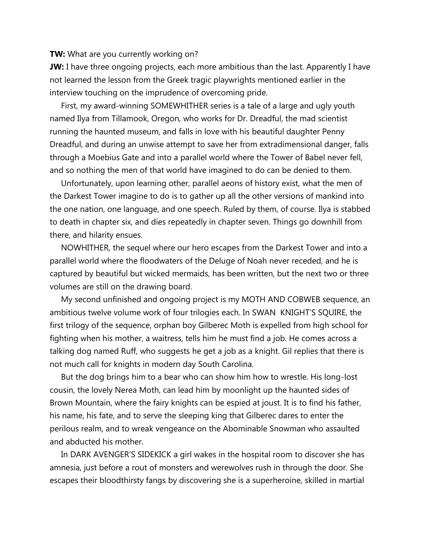**TW:** What are you currently working on?

**JW:** I have three ongoing projects, each more ambitious than the last. Apparently I have not learned the lesson from the Greek tragic playwrights mentioned earlier in the interview touching on the imprudence of overcoming pride.

 First, my award-winning SOMEWHITHER series is a tale of a large and ugly youth named Ilya from Tillamook, Oregon, who works for Dr. Dreadful, the mad scientist running the haunted museum, and falls in love with his beautiful daughter Penny Dreadful, and during an unwise attempt to save her from extradimensional danger, falls through a Moebius Gate and into a parallel world where the Tower of Babel never fell, and so nothing the men of that world have imagined to do can be denied to them.

 Unfortunately, upon learning other, parallel aeons of history exist, what the men of the Darkest Tower imagine to do is to gather up all the other versions of mankind into the one nation, one language, and one speech. Ruled by them, of course. Ilya is stabbed to death in chapter six, and dies repeatedly in chapter seven. Things go downhill from there, and hilarity ensues.

 NOWHITHER, the sequel where our hero escapes from the Darkest Tower and into a parallel world where the floodwaters of the Deluge of Noah never receded, and he is captured by beautiful but wicked mermaids, has been written, but the next two or three volumes are still on the drawing board.

 My second unfinished and ongoing project is my MOTH AND COBWEB sequence, an ambitious twelve volume work of four trilogies each. In SWAN KNIGHT'S SQUIRE, the first trilogy of the sequence, orphan boy Gilberec Moth is expelled from high school for fighting when his mother, a waitress, tells him he must find a job. He comes across a talking dog named Ruff, who suggests he get a job as a knight. Gil replies that there is not much call for knights in modern day South Carolina.

 But the dog brings him to a bear who can show him how to wrestle. His long-lost cousin, the lovely Nerea Moth, can lead him by moonlight up the haunted sides of Brown Mountain, where the fairy knights can be espied at joust. It is to find his father, his name, his fate, and to serve the sleeping king that Gilberec dares to enter the perilous realm, and to wreak vengeance on the Abominable Snowman who assaulted and abducted his mother.

 In DARK AVENGER'S SIDEKICK a girl wakes in the hospital room to discover she has amnesia, just before a rout of monsters and werewolves rush in through the door. She escapes their bloodthirsty fangs by discovering she is a superheroine, skilled in martial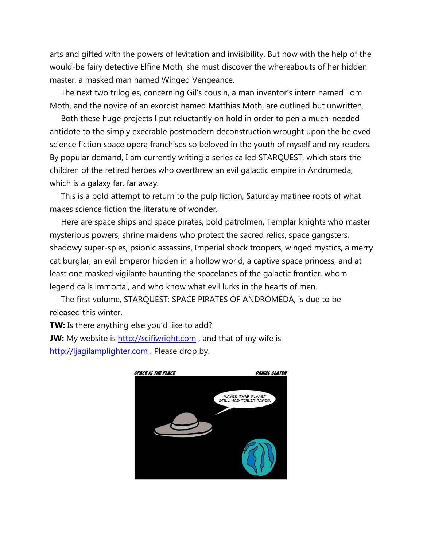arts and gifted with the powers of levitation and invisibility. But now with the help of the would-be fairy detective Elfine Moth, she must discover the whereabouts of her hidden master, a masked man named Winged Vengeance.

 The next two trilogies, concerning Gil's cousin, a man inventor's intern named Tom Moth, and the novice of an exorcist named Matthias Moth, are outlined but unwritten.

 Both these huge projects I put reluctantly on hold in order to pen a much-needed antidote to the simply execrable postmodern deconstruction wrought upon the beloved science fiction space opera franchises so beloved in the youth of myself and my readers. By popular demand, I am currently writing a series called STARQUEST, which stars the children of the retired heroes who overthrew an evil galactic empire in Andromeda, which is a galaxy far, far away.

 This is a bold attempt to return to the pulp fiction, Saturday matinee roots of what makes science fiction the literature of wonder.

 Here are space ships and space pirates, bold patrolmen, Templar knights who master mysterious powers, shrine maidens who protect the sacred relics, space gangsters, shadowy super-spies, psionic assassins, Imperial shock troopers, winged mystics, a merry cat burglar, an evil Emperor hidden in a hollow world, a captive space princess, and at least one masked vigilante haunting the spacelanes of the galactic frontier, whom legend calls immortal, and who know what evil lurks in the hearts of men.

 The first volume, STARQUEST: SPACE PIRATES OF ANDROMEDA, is due to be released this winter.

**TW:** Is there anything else you'd like to add?

**JW:** My website is [http://scifiwright.com](http://scifiwright.com/), and that of my wife is [http://ljagilamplighter.com](http://ljagilamplighter.com/) . Please drop by.

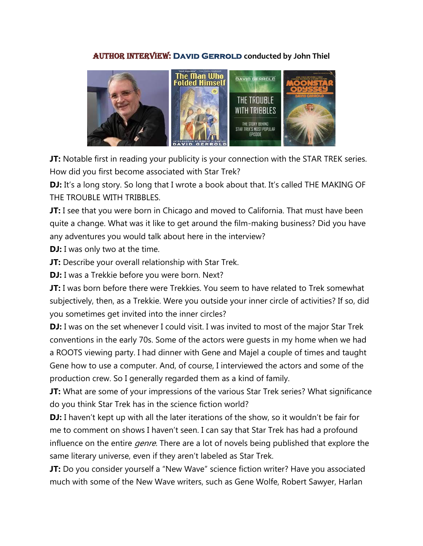### Author interview: **David Gerrold conducted by John Thiel**



**JT:** Notable first in reading your publicity is your connection with the STAR TREK series. How did you first become associated with Star Trek?

**DJ:** It's a long story. So long that I wrote a book about that. It's called THE MAKING OF THE TROUBLE WITH TRIBBLES.

**JT:** I see that you were born in Chicago and moved to California. That must have been quite a change. What was it like to get around the film-making business? Did you have any adventures you would talk about here in the interview?

**DJ:** I was only two at the time.

**JT:** Describe your overall relationship with Star Trek.

**DJ:** I was a Trekkie before you were born. Next?

**JT:** I was born before there were Trekkies. You seem to have related to Trek somewhat subjectively, then, as a Trekkie. Were you outside your inner circle of activities? If so, did you sometimes get invited into the inner circles?

**DJ:** I was on the set whenever I could visit. I was invited to most of the major Star Trek conventions in the early 70s. Some of the actors were guests in my home when we had a ROOTS viewing party. I had dinner with Gene and Majel a couple of times and taught Gene how to use a computer. And, of course, I interviewed the actors and some of the production crew. So I generally regarded them as a kind of family.

**JT:** What are some of your impressions of the various Star Trek series? What significance do you think Star Trek has in the science fiction world?

**DJ:** I haven't kept up with all the later iterations of the show, so it wouldn't be fair for me to comment on shows I haven't seen. I can say that Star Trek has had a profound influence on the entire *genre*. There are a lot of novels being published that explore the same literary universe, even if they aren't labeled as Star Trek.

**JT:** Do you consider yourself a "New Wave" science fiction writer? Have you associated much with some of the New Wave writers, such as Gene Wolfe, Robert Sawyer, Harlan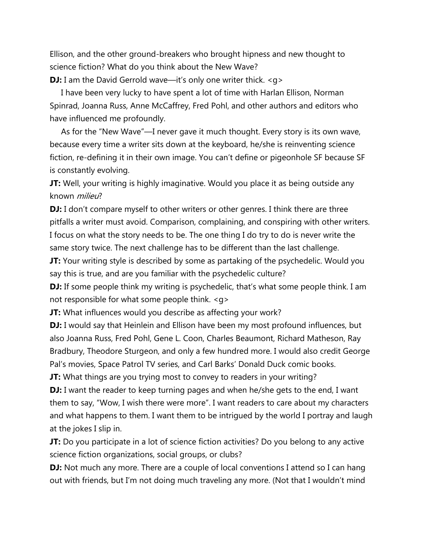Ellison, and the other ground-breakers who brought hipness and new thought to science fiction? What do you think about the New Wave?

**DJ:** I am the David Gerrold wave—it's only one writer thick. <q>

 I have been very lucky to have spent a lot of time with Harlan Ellison, Norman Spinrad, Joanna Russ, Anne McCaffrey, Fred Pohl, and other authors and editors who have influenced me profoundly.

 As for the "New Wave"—I never gave it much thought. Every story is its own wave, because every time a writer sits down at the keyboard, he/she is reinventing science fiction, re-defining it in their own image. You can't define or pigeonhole SF because SF is constantly evolving.

**JT:** Well, your writing is highly imaginative. Would you place it as being outside any known milieu?

**DJ:** I don't compare myself to other writers or other genres. I think there are three pitfalls a writer must avoid. Comparison, complaining, and conspiring with other writers. I focus on what the story needs to be. The one thing I do try to do is never write the same story twice. The next challenge has to be different than the last challenge.

**JT:** Your writing style is described by some as partaking of the psychedelic. Would you say this is true, and are you familiar with the psychedelic culture?

**DJ:** If some people think my writing is psychedelic, that's what some people think. I am not responsible for what some people think. <g>

**JT:** What influences would you describe as affecting your work?

**DJ:** I would say that Heinlein and Ellison have been my most profound influences, but also Joanna Russ, Fred Pohl, Gene L. Coon, Charles Beaumont, Richard Matheson, Ray Bradbury, Theodore Sturgeon, and only a few hundred more. I would also credit George Pal's movies, Space Patrol TV series, and Carl Barks' Donald Duck comic books.

**JT:** What things are you trying most to convey to readers in your writing?

**DJ:** I want the reader to keep turning pages and when he/she gets to the end, I want them to say, "Wow, I wish there were more". I want readers to care about my characters and what happens to them. I want them to be intrigued by the world I portray and laugh at the jokes I slip in.

**JT:** Do you participate in a lot of science fiction activities? Do you belong to any active science fiction organizations, social groups, or clubs?

**DJ:** Not much any more. There are a couple of local conventions I attend so I can hang out with friends, but I'm not doing much traveling any more. (Not that I wouldn't mind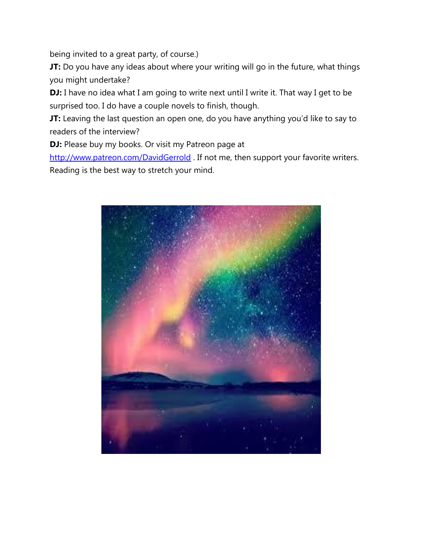being invited to a great party, of course.)

**JT:** Do you have any ideas about where your writing will go in the future, what things you might undertake?

**DJ:** I have no idea what I am going to write next until I write it. That way I get to be surprised too. I do have a couple novels to finish, though.

**JT:** Leaving the last question an open one, do you have anything you'd like to say to readers of the interview?

**DJ:** Please buy my books. Or visit my Patreon page at

<http://www.patreon.com/DavidGerrold> . If not me, then support your favorite writers. Reading is the best way to stretch your mind.

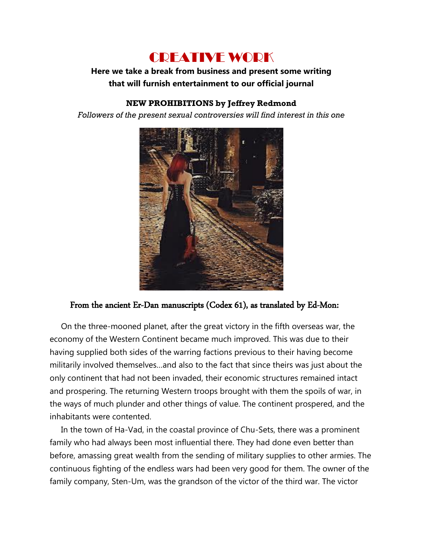# CREATIVE WORK

### **Here we take a break from business and present some writing that will furnish entertainment to our official journal**

### **NEW PROHIBITIONS by Jeffrey Redmond**

*Followers of the present sexual controversies will find interest in this one*



### From the ancient Er-Dan manuscripts (Codex 61), as translated by Ed-Mon:

 On the three-mooned planet, after the great victory in the fifth overseas war, the economy of the Western Continent became much improved. This was due to their having supplied both sides of the warring factions previous to their having become militarily involved themselves…and also to the fact that since theirs was just about the only continent that had not been invaded, their economic structures remained intact and prospering. The returning Western troops brought with them the spoils of war, in the ways of much plunder and other things of value. The continent prospered, and the inhabitants were contented.

 In the town of Ha-Vad, in the coastal province of Chu-Sets, there was a prominent family who had always been most influential there. They had done even better than before, amassing great wealth from the sending of military supplies to other armies. The continuous fighting of the endless wars had been very good for them. The owner of the family company, Sten-Um, was the grandson of the victor of the third war. The victor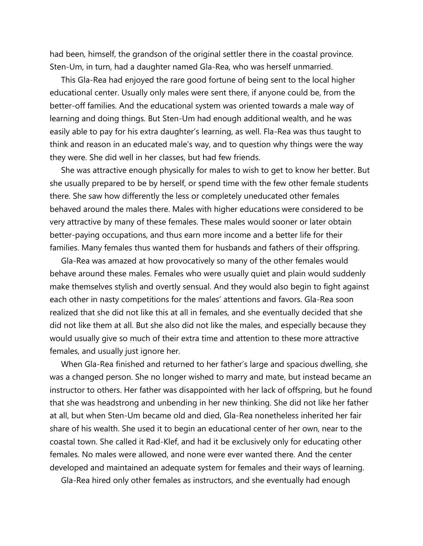had been, himself, the grandson of the original settler there in the coastal province. Sten-Um, in turn, had a daughter named Gla-Rea, who was herself unmarried.

 This Gla-Rea had enjoyed the rare good fortune of being sent to the local higher educational center. Usually only males were sent there, if anyone could be, from the better-off families. And the educational system was oriented towards a male way of learning and doing things. But Sten-Um had enough additional wealth, and he was easily able to pay for his extra daughter's learning, as well. Fla-Rea was thus taught to think and reason in an educated male's way, and to question why things were the way they were. She did well in her classes, but had few friends.

 She was attractive enough physically for males to wish to get to know her better. But she usually prepared to be by herself, or spend time with the few other female students there. She saw how differently the less or completely uneducated other females behaved around the males there. Males with higher educations were considered to be very attractive by many of these females. These males would sooner or later obtain better-paying occupations, and thus earn more income and a better life for their families. Many females thus wanted them for husbands and fathers of their offspring.

 Gla-Rea was amazed at how provocatively so many of the other females would behave around these males. Females who were usually quiet and plain would suddenly make themselves stylish and overtly sensual. And they would also begin to fight against each other in nasty competitions for the males' attentions and favors. Gla-Rea soon realized that she did not like this at all in females, and she eventually decided that she did not like them at all. But she also did not like the males, and especially because they would usually give so much of their extra time and attention to these more attractive females, and usually just ignore her.

 When Gla-Rea finished and returned to her father's large and spacious dwelling, she was a changed person. She no longer wished to marry and mate, but instead became an instructor to others. Her father was disappointed with her lack of offspring, but he found that she was headstrong and unbending in her new thinking. She did not like her father at all, but when Sten-Um became old and died, Gla-Rea nonetheless inherited her fair share of his wealth. She used it to begin an educational center of her own, near to the coastal town. She called it Rad-Klef, and had it be exclusively only for educating other females. No males were allowed, and none were ever wanted there. And the center developed and maintained an adequate system for females and their ways of learning.

Gla-Rea hired only other females as instructors, and she eventually had enough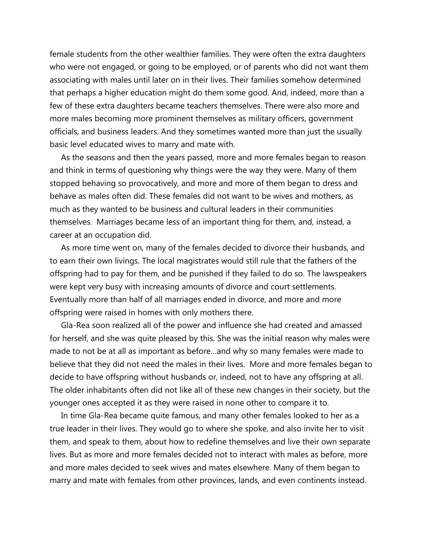female students from the other wealthier families. They were often the extra daughters who were not engaged, or going to be employed, or of parents who did not want them associating with males until later on in their lives. Their families somehow determined that perhaps a higher education might do them some good. And, indeed, more than a few of these extra daughters became teachers themselves. There were also more and more males becoming more prominent themselves as military officers, government officials, and business leaders. And they sometimes wanted more than just the usually basic level educated wives to marry and mate with.

 As the seasons and then the years passed, more and more females began to reason and think in terms of questioning why things were the way they were. Many of them stopped behaving so provocatively, and more and more of them began to dress and behave as males often did. These females did not want to be wives and mothers, as much as they wanted to be business and cultural leaders in their communities themselves. Marriages became less of an important thing for them, and, instead, a career at an occupation did.

 As more time went on, many of the females decided to divorce their husbands, and to earn their own livings. The local magistrates would still rule that the fathers of the offspring had to pay for them, and be punished if they failed to do so. The lawspeakers were kept very busy with increasing amounts of divorce and court settlements. Eventually more than half of all marriages ended in divorce, and more and more offspring were raised in homes with only mothers there.

 Gla-Rea soon realized all of the power and influence she had created and amassed for herself, and she was quite pleased by this. She was the initial reason why males were made to not be at all as important as before…and why so many females were made to believe that they did not need the males in their lives. More and more females began to decide to have offspring without husbands or, indeed, not to have any offspring at all. The older inhabitants often did not like all of these new changes in their society, but the younger ones accepted it as they were raised in none other to compare it to.

 In time Gla-Rea became quite famous, and many other females looked to her as a true leader in their lives. They would go to where she spoke, and also invite her to visit them, and speak to them, about how to redefine themselves and live their own separate lives. But as more and more females decided not to interact with males as before, more and more males decided to seek wives and mates elsewhere. Many of them began to marry and mate with females from other provinces, lands, and even continents instead.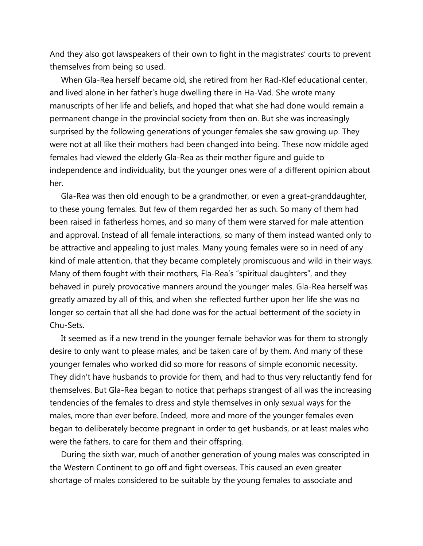And they also got lawspeakers of their own to fight in the magistrates' courts to prevent themselves from being so used.

 When Gla-Rea herself became old, she retired from her Rad-Klef educational center, and lived alone in her father's huge dwelling there in Ha-Vad. She wrote many manuscripts of her life and beliefs, and hoped that what she had done would remain a permanent change in the provincial society from then on. But she was increasingly surprised by the following generations of younger females she saw growing up. They were not at all like their mothers had been changed into being. These now middle aged females had viewed the elderly Gla-Rea as their mother figure and guide to independence and individuality, but the younger ones were of a different opinion about her.

 Gla-Rea was then old enough to be a grandmother, or even a great-granddaughter, to these young females. But few of them regarded her as such. So many of them had been raised in fatherless homes, and so many of them were starved for male attention and approval. Instead of all female interactions, so many of them instead wanted only to be attractive and appealing to just males. Many young females were so in need of any kind of male attention, that they became completely promiscuous and wild in their ways. Many of them fought with their mothers, Fla-Rea's "spiritual daughters", and they behaved in purely provocative manners around the younger males. Gla-Rea herself was greatly amazed by all of this, and when she reflected further upon her life she was no longer so certain that all she had done was for the actual betterment of the society in Chu-Sets.

 It seemed as if a new trend in the younger female behavior was for them to strongly desire to only want to please males, and be taken care of by them. And many of these younger females who worked did so more for reasons of simple economic necessity. They didn't have husbands to provide for them, and had to thus very reluctantly fend for themselves. But Gla-Rea began to notice that perhaps strangest of all was the increasing tendencies of the females to dress and style themselves in only sexual ways for the males, more than ever before. Indeed, more and more of the younger females even began to deliberately become pregnant in order to get husbands, or at least males who were the fathers, to care for them and their offspring.

 During the sixth war, much of another generation of young males was conscripted in the Western Continent to go off and fight overseas. This caused an even greater shortage of males considered to be suitable by the young females to associate and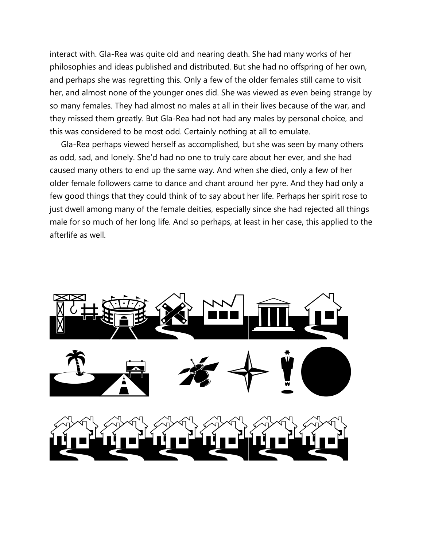interact with. Gla-Rea was quite old and nearing death. She had many works of her philosophies and ideas published and distributed. But she had no offspring of her own, and perhaps she was regretting this. Only a few of the older females still came to visit her, and almost none of the younger ones did. She was viewed as even being strange by so many females. They had almost no males at all in their lives because of the war, and they missed them greatly. But Gla-Rea had not had any males by personal choice, and this was considered to be most odd. Certainly nothing at all to emulate.

 Gla-Rea perhaps viewed herself as accomplished, but she was seen by many others as odd, sad, and lonely. She'd had no one to truly care about her ever, and she had caused many others to end up the same way. And when she died, only a few of her older female followers came to dance and chant around her pyre. And they had only a few good things that they could think of to say about her life. Perhaps her spirit rose to just dwell among many of the female deities, especially since she had rejected all things male for so much of her long life. And so perhaps, at least in her case, this applied to the afterlife as well.

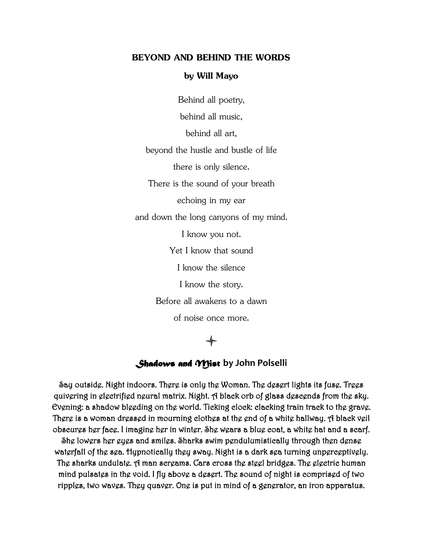#### **BEYOND AND BEHIND THE WORDS**

#### **by Will Mayo**

Behind all poetry,

behind all music,

behind all art,

beyond the hustle and bustle of life

there is only silence.

There is the sound of your breath

echoing in my ear

and down the long canyons of my mind.

I know you not.

Yet I know that sound

I know the silence

I know the story.

Before all awakens to a dawn

of noise once more.

## $\blacklozenge$

#### *Shadows and Mist* **by John Polselli**

Say outside. Night indoors. There is only the Woman. The desert lights its fuse. Trees quivering in electrified neural matrix. Night. A black orb of glass descends from the sky. Evening: a shadow bleeding on the world. Ticking clock: clacking train track to the grave. There is a woman dressed in mourning clothes at the end of a white hallway. A black veil obscures her face. I imagine her in winter. She wears a blue coat, a white hat and a scarf.

She lowers her eyes and smiles. Sharks swim pendulumistically through then dense waterfall of the sea. Hypnotically they sway. Night is a dark sea turning unperceptively. The sharks undulate. A man screams. Cars cross the steel bridges. The electric human mind pulsates in the void. I fly above a desert. The sound of night is comprised of two ripples, two waves. They quaver. One is put in mind of a generator, an iron apparatus.